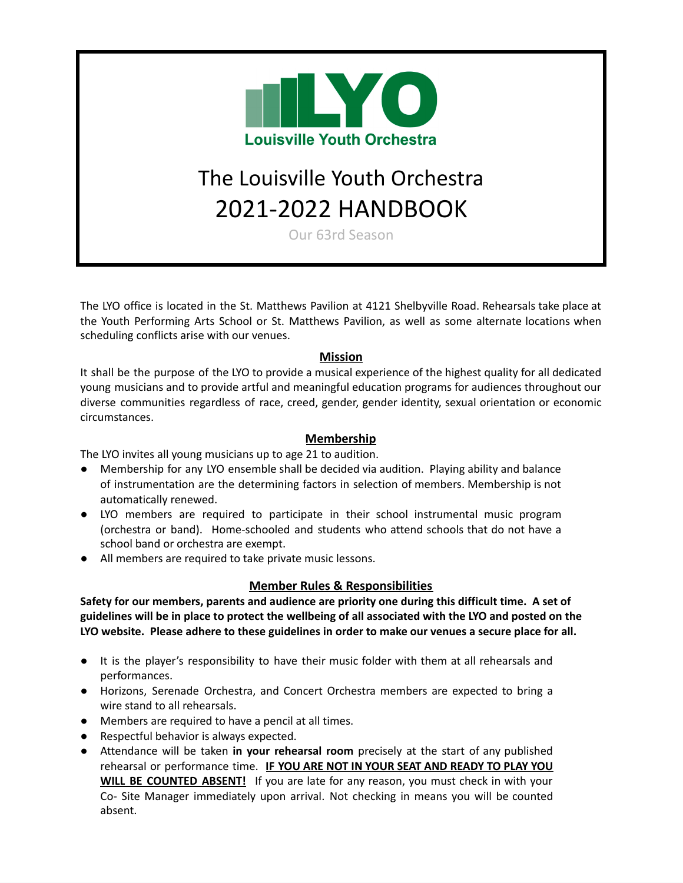

# The Louisville Youth Orchestra 2021-2022 HANDBOOK

Our 63rd Season

The LYO office is located in the St. Matthews Pavilion at 4121 Shelbyville Road. Rehearsals take place at the Youth Performing Arts School or St. Matthews Pavilion, as well as some alternate locations when scheduling conflicts arise with our venues.

# **Mission**

It shall be the purpose of the LYO to provide a musical experience of the highest quality for all dedicated young musicians and to provide artful and meaningful education programs for audiences throughout our diverse communities regardless of race, creed, gender, gender identity, sexual orientation or economic circumstances.

#### **Membership**

The LYO invites all young musicians up to age 21 to audition.

- Membership for any LYO ensemble shall be decided via audition. Playing ability and balance of instrumentation are the determining factors in selection of members. Membership is not automatically renewed.
- LYO members are required to participate in their school instrumental music program (orchestra or band). Home-schooled and students who attend schools that do not have a school band or orchestra are exempt.
- All members are required to take private music lessons.

# **Member Rules & Responsibilities**

**Safety for our members, parents and audience are priority one during this difficult time. A set of** guidelines will be in place to protect the wellbeing of all associated with the LYO and posted on the **LYO website. Please adhere to these guidelines in order to make our venues a secure place for all.**

- It is the player's responsibility to have their music folder with them at all rehearsals and performances.
- Horizons, Serenade Orchestra, and Concert Orchestra members are expected to bring a wire stand to all rehearsals.
- Members are required to have a pencil at all times.
- Respectful behavior is always expected.
- Attendance will be taken **in your rehearsal room** precisely at the start of any published rehearsal or performance time. **IF YOU ARE NOT IN YOUR SEAT AND READY TO PLAY YOU WILL BE COUNTED ABSENT!** If you are late for any reason, you must check in with your Co- Site Manager immediately upon arrival. Not checking in means you will be counted absent.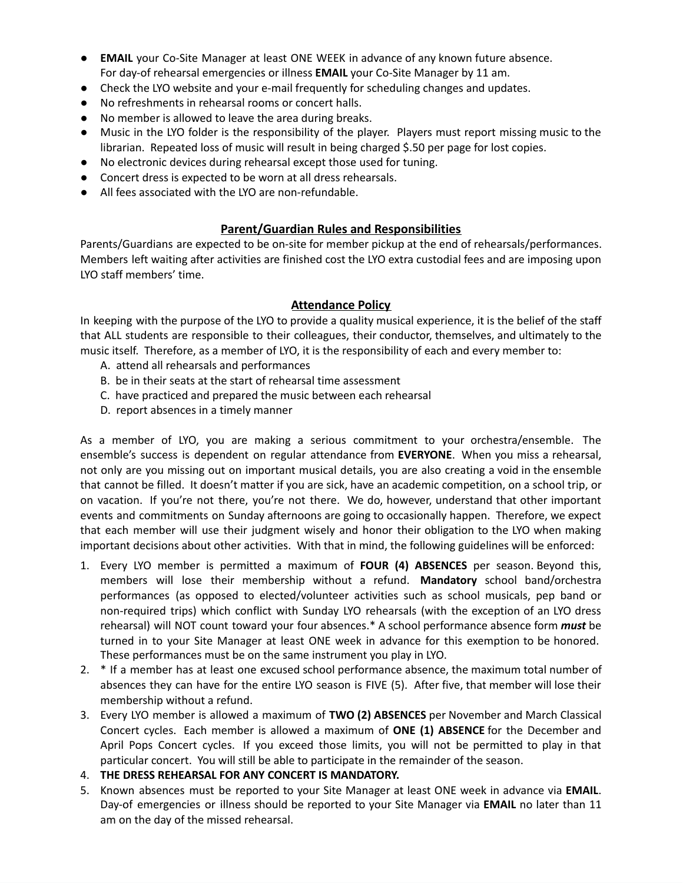- **EMAIL** your Co-Site Manager at least ONE WEEK in advance of any known future absence. For day-of rehearsal emergencies or illness **EMAIL** your Co-Site Manager by 11 am.
- Check the LYO website and your e-mail frequently for scheduling changes and updates.
- No refreshments in rehearsal rooms or concert halls.
- No member is allowed to leave the area during breaks.
- Music in the LYO folder is the responsibility of the player. Players must report missing music to the librarian. Repeated loss of music will result in being charged \$.50 per page for lost copies.
- No electronic devices during rehearsal except those used for tuning.
- Concert dress is expected to be worn at all dress rehearsals.
- All fees associated with the LYO are non-refundable.

# **Parent/Guardian Rules and Responsibilities**

Parents/Guardians are expected to be on-site for member pickup at the end of rehearsals/performances. Members left waiting after activities are finished cost the LYO extra custodial fees and are imposing upon LYO staff members' time.

#### **Attendance Policy**

In keeping with the purpose of the LYO to provide a quality musical experience, it is the belief of the staff that ALL students are responsible to their colleagues, their conductor, themselves, and ultimately to the music itself. Therefore, as a member of LYO, it is the responsibility of each and every member to:

- A. attend all rehearsals and performances
- B. be in their seats at the start of rehearsal time assessment
- C. have practiced and prepared the music between each rehearsal
- D. report absences in a timely manner

As a member of LYO, you are making a serious commitment to your orchestra/ensemble. The ensemble's success is dependent on regular attendance from **EVERYONE**. When you miss a rehearsal, not only are you missing out on important musical details, you are also creating a void in the ensemble that cannot be filled. It doesn't matter if you are sick, have an academic competition, on a school trip, or on vacation. If you're not there, you're not there. We do, however, understand that other important events and commitments on Sunday afternoons are going to occasionally happen. Therefore, we expect that each member will use their judgment wisely and honor their obligation to the LYO when making important decisions about other activities. With that in mind, the following guidelines will be enforced:

- 1. Every LYO member is permitted a maximum of **FOUR (4) ABSENCES** per season. Beyond this, members will lose their membership without a refund. **Mandatory** school band/orchestra performances (as opposed to elected/volunteer activities such as school musicals, pep band or non-required trips) which conflict with Sunday LYO rehearsals (with the exception of an LYO dress rehearsal) will NOT count toward your four absences.\* A school performance absence form *must* be turned in to your Site Manager at least ONE week in advance for this exemption to be honored. These performances must be on the same instrument you play in LYO.
- 2. \* If a member has at least one excused school performance absence, the maximum total number of absences they can have for the entire LYO season is FIVE (5). After five, that member will lose their membership without a refund.
- 3. Every LYO member is allowed a maximum of **TWO (2) ABSENCES** per November and March Classical Concert cycles. Each member is allowed a maximum of **ONE (1) ABSENCE** for the December and April Pops Concert cycles. If you exceed those limits, you will not be permitted to play in that particular concert. You will still be able to participate in the remainder of the season.
- 4. **THE DRESS REHEARSAL FOR ANY CONCERT IS MANDATORY.**
- 5. Known absences must be reported to your Site Manager at least ONE week in advance via **EMAIL**. Day-of emergencies or illness should be reported to your Site Manager via **EMAIL** no later than 11 am on the day of the missed rehearsal.